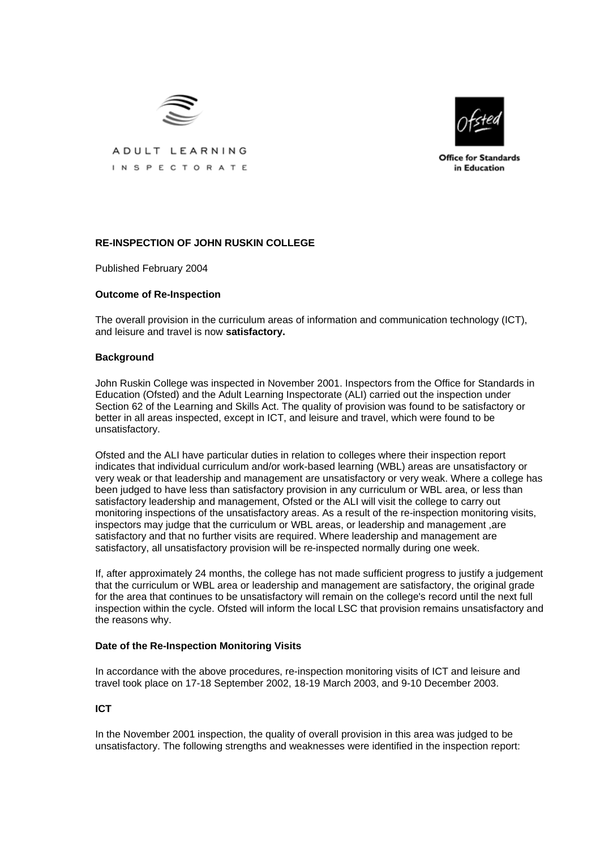

ADULT LEARNING INSPECTORATE

**Office for Standards** in Education

# **RE-INSPECTION OF JOHN RUSKIN COLLEGE**

Published February 2004

# **Outcome of Re-Inspection**

The overall provision in the curriculum areas of information and communication technology (ICT), and leisure and travel is now **satisfactory.**

## **Background**

John Ruskin College was inspected in November 2001. Inspectors from the Office for Standards in Education (Ofsted) and the Adult Learning Inspectorate (ALI) carried out the inspection under Section 62 of the Learning and Skills Act. The quality of provision was found to be satisfactory or better in all areas inspected, except in ICT, and leisure and travel, which were found to be unsatisfactory.

Ofsted and the ALI have particular duties in relation to colleges where their inspection report indicates that individual curriculum and/or work-based learning (WBL) areas are unsatisfactory or very weak or that leadership and management are unsatisfactory or very weak. Where a college has been judged to have less than satisfactory provision in any curriculum or WBL area, or less than satisfactory leadership and management, Ofsted or the ALI will visit the college to carry out monitoring inspections of the unsatisfactory areas. As a result of the re-inspection monitoring visits, inspectors may judge that the curriculum or WBL areas, or leadership and management ,are satisfactory and that no further visits are required. Where leadership and management are satisfactory, all unsatisfactory provision will be re-inspected normally during one week.

If, after approximately 24 months, the college has not made sufficient progress to justify a judgement that the curriculum or WBL area or leadership and management are satisfactory, the original grade for the area that continues to be unsatisfactory will remain on the college's record until the next full inspection within the cycle. Ofsted will inform the local LSC that provision remains unsatisfactory and the reasons why.

## **Date of the Re-Inspection Monitoring Visits**

In accordance with the above procedures, re-inspection monitoring visits of ICT and leisure and travel took place on 17-18 September 2002, 18-19 March 2003, and 9-10 December 2003.

## **ICT**

In the November 2001 inspection, the quality of overall provision in this area was judged to be unsatisfactory. The following strengths and weaknesses were identified in the inspection report: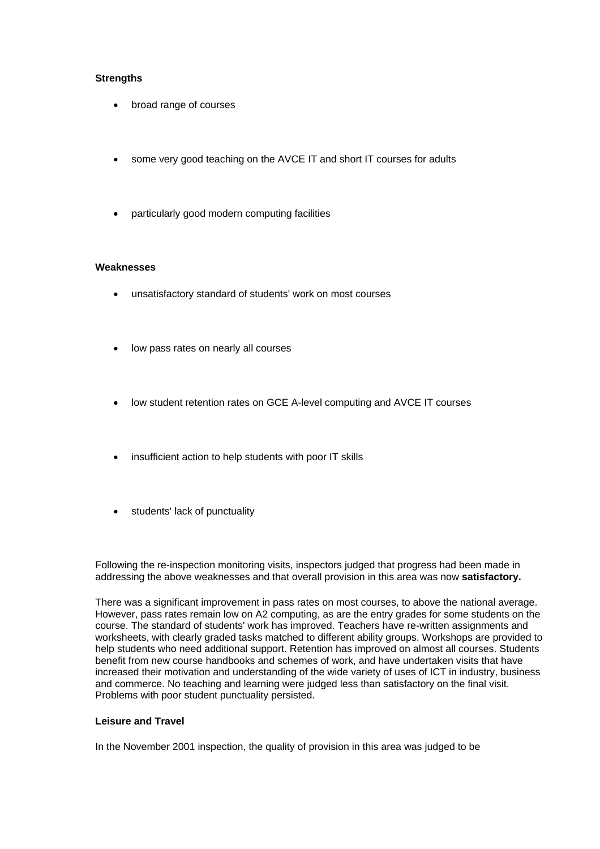## **Strengths**

- broad range of courses
- some very good teaching on the AVCE IT and short IT courses for adults
- particularly good modern computing facilities

## **Weaknesses**

- unsatisfactory standard of students' work on most courses
- low pass rates on nearly all courses
- low student retention rates on GCE A-level computing and AVCE IT courses
- insufficient action to help students with poor IT skills
- students' lack of punctuality

Following the re-inspection monitoring visits, inspectors judged that progress had been made in addressing the above weaknesses and that overall provision in this area was now **satisfactory.**

There was a significant improvement in pass rates on most courses, to above the national average. However, pass rates remain low on A2 computing, as are the entry grades for some students on the course. The standard of students' work has improved. Teachers have re-written assignments and worksheets, with clearly graded tasks matched to different ability groups. Workshops are provided to help students who need additional support. Retention has improved on almost all courses. Students benefit from new course handbooks and schemes of work, and have undertaken visits that have increased their motivation and understanding of the wide variety of uses of ICT in industry, business and commerce. No teaching and learning were judged less than satisfactory on the final visit. Problems with poor student punctuality persisted.

## **Leisure and Travel**

In the November 2001 inspection, the quality of provision in this area was judged to be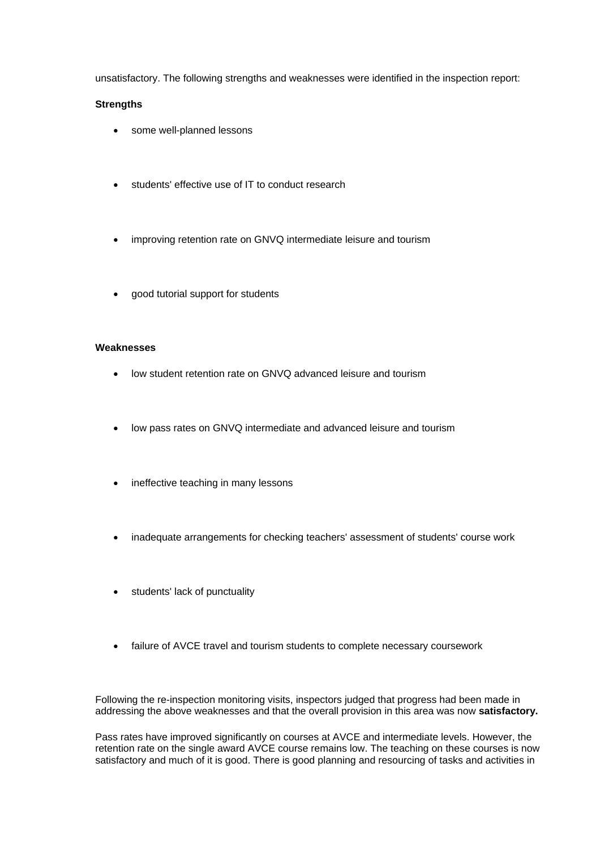unsatisfactory. The following strengths and weaknesses were identified in the inspection report:

# **Strengths**

- some well-planned lessons
- students' effective use of IT to conduct research
- improving retention rate on GNVQ intermediate leisure and tourism
- good tutorial support for students

## **Weaknesses**

- low student retention rate on GNVQ advanced leisure and tourism
- low pass rates on GNVQ intermediate and advanced leisure and tourism
- ineffective teaching in many lessons
- inadequate arrangements for checking teachers' assessment of students' course work
- students' lack of punctuality
- failure of AVCE travel and tourism students to complete necessary coursework

Following the re-inspection monitoring visits, inspectors judged that progress had been made in addressing the above weaknesses and that the overall provision in this area was now **satisfactory.**

Pass rates have improved significantly on courses at AVCE and intermediate levels. However, the retention rate on the single award AVCE course remains low. The teaching on these courses is now satisfactory and much of it is good. There is good planning and resourcing of tasks and activities in